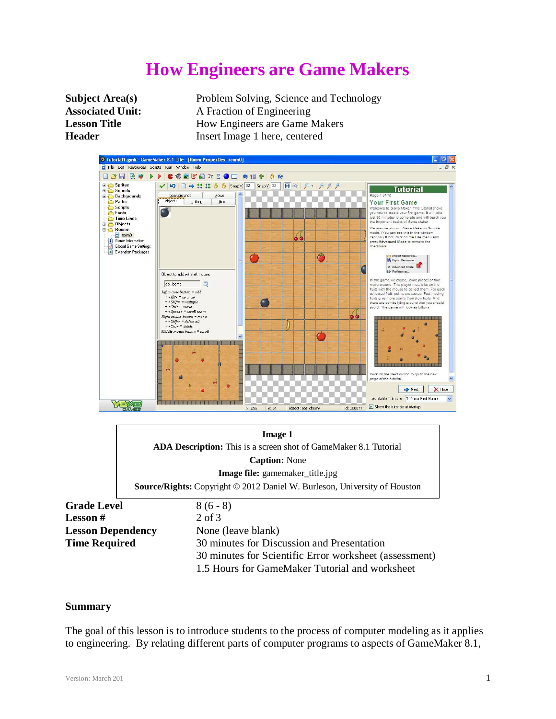# **How Engineers are Game Makers**

**Subject Area(s)** Problem Solving, Science and Technology **Associated Unit:** A Fraction of Engineering **Lesson Title** How Engineers are Game Makers **Header** Insert Image 1 here, centered



**Grade Level** 8 (6 - 8) Lesson # 2 of 3 **Lesson Dependency** None (leave blank)

**Time Required** 30 minutes for Discussion and Presentation 30 minutes for Scientific Error worksheet (assessment) 1.5 Hours for GameMaker Tutorial and worksheet

#### **Summary**

The goal of this lesson is to introduce students to the process of computer modeling as it applies to engineering. By relating different parts of computer programs to aspects of GameMaker 8.1,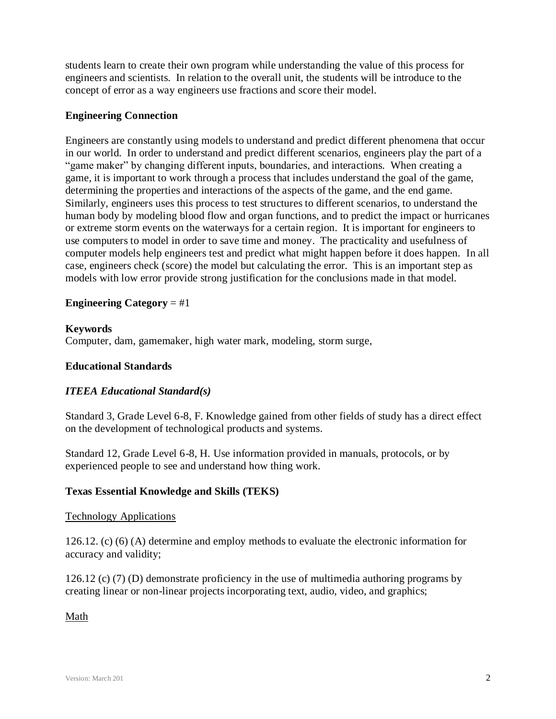students learn to create their own program while understanding the value of this process for engineers and scientists. In relation to the overall unit, the students will be introduce to the concept of error as a way engineers use fractions and score their model.

## **Engineering Connection**

Engineers are constantly using models to understand and predict different phenomena that occur in our world. In order to understand and predict different scenarios, engineers play the part of a "game maker" by changing different inputs, boundaries, and interactions. When creating a game, it is important to work through a process that includes understand the goal of the game, determining the properties and interactions of the aspects of the game, and the end game. Similarly, engineers uses this process to test structures to different scenarios, to understand the human body by modeling blood flow and organ functions, and to predict the impact or hurricanes or extreme storm events on the waterways for a certain region. It is important for engineers to use computers to model in order to save time and money. The practicality and usefulness of computer models help engineers test and predict what might happen before it does happen. In all case, engineers check (score) the model but calculating the error. This is an important step as models with low error provide strong justification for the conclusions made in that model.

## **Engineering Category** = #1

## **Keywords**

Computer, dam, gamemaker, high water mark, modeling, storm surge,

## **Educational Standards**

## *ITEEA Educational Standard(s)*

Standard 3, Grade Level 6-8, F. Knowledge gained from other fields of study has a direct effect on the development of technological products and systems.

Standard 12, Grade Level 6-8, H. Use information provided in manuals, protocols, or by experienced people to see and understand how thing work.

## **Texas Essential Knowledge and Skills (TEKS)**

## Technology Applications

126.12. (c) (6) (A) determine and employ methods to evaluate the electronic information for accuracy and validity;

126.12 (c) (7) (D) demonstrate proficiency in the use of multimedia authoring programs by creating linear or non-linear projects incorporating text, audio, video, and graphics;

## Math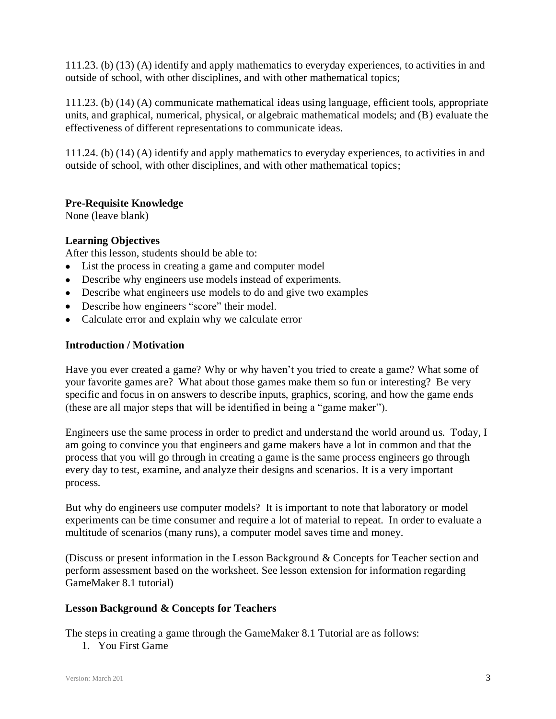111.23. (b) (13) (A) identify and apply mathematics to everyday experiences, to activities in and outside of school, with other disciplines, and with other mathematical topics;

111.23. (b) (14) (A) communicate mathematical ideas using language, efficient tools, appropriate units, and graphical, numerical, physical, or algebraic mathematical models; and (B) evaluate the effectiveness of different representations to communicate ideas.

111.24. (b) (14) (A) identify and apply mathematics to everyday experiences, to activities in and outside of school, with other disciplines, and with other mathematical topics;

## **Pre-Requisite Knowledge**

None (leave blank)

## **Learning Objectives**

After this lesson, students should be able to:

- List the process in creating a game and computer model
- Describe why engineers use models instead of experiments.
- Describe what engineers use models to do and give two examples
- Describe how engineers "score" their model.
- Calculate error and explain why we calculate error

## **Introduction / Motivation**

Have you ever created a game? Why or why haven't you tried to create a game? What some of your favorite games are? What about those games make them so fun or interesting? Be very specific and focus in on answers to describe inputs, graphics, scoring, and how the game ends (these are all major steps that will be identified in being a "game maker").

Engineers use the same process in order to predict and understand the world around us. Today, I am going to convince you that engineers and game makers have a lot in common and that the process that you will go through in creating a game is the same process engineers go through every day to test, examine, and analyze their designs and scenarios. It is a very important process.

But why do engineers use computer models? It is important to note that laboratory or model experiments can be time consumer and require a lot of material to repeat. In order to evaluate a multitude of scenarios (many runs), a computer model saves time and money.

(Discuss or present information in the Lesson Background & Concepts for Teacher section and perform assessment based on the worksheet. See lesson extension for information regarding GameMaker 8.1 tutorial)

## **Lesson Background & Concepts for Teachers**

The steps in creating a game through the GameMaker 8.1 Tutorial are as follows:

1. You First Game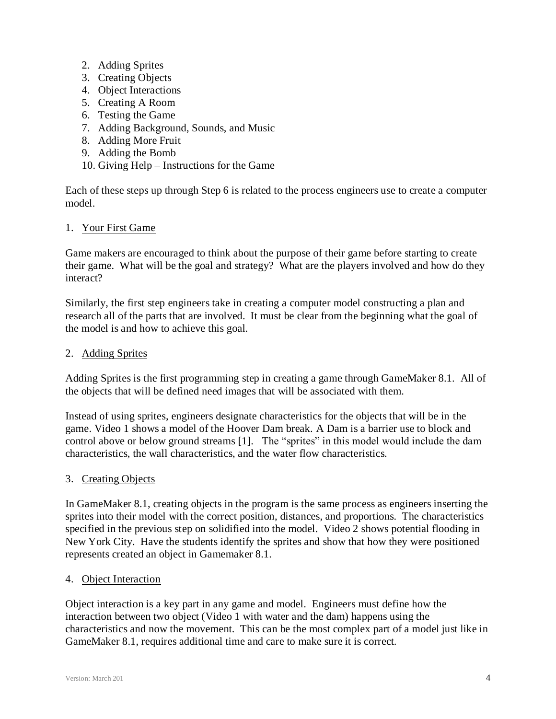- 2. Adding Sprites
- 3. Creating Objects
- 4. Object Interactions
- 5. Creating A Room
- 6. Testing the Game
- 7. Adding Background, Sounds, and Music
- 8. Adding More Fruit
- 9. Adding the Bomb
- 10. Giving Help Instructions for the Game

Each of these steps up through Step 6 is related to the process engineers use to create a computer model.

#### 1. Your First Game

Game makers are encouraged to think about the purpose of their game before starting to create their game. What will be the goal and strategy? What are the players involved and how do they interact?

Similarly, the first step engineers take in creating a computer model constructing a plan and research all of the parts that are involved. It must be clear from the beginning what the goal of the model is and how to achieve this goal.

#### 2. Adding Sprites

Adding Sprites is the first programming step in creating a game through GameMaker 8.1. All of the objects that will be defined need images that will be associated with them.

Instead of using sprites, engineers designate characteristics for the objects that will be in the game. Video 1 shows a model of the Hoover Dam break. A Dam is a barrier use to block and control above or below ground streams [1]. The "sprites" in this model would include the dam characteristics, the wall characteristics, and the water flow characteristics.

## 3. Creating Objects

In GameMaker 8.1, creating objects in the program is the same process as engineers inserting the sprites into their model with the correct position, distances, and proportions. The characteristics specified in the previous step on solidified into the model. Video 2 shows potential flooding in New York City. Have the students identify the sprites and show that how they were positioned represents created an object in Gamemaker 8.1.

#### 4. Object Interaction

Object interaction is a key part in any game and model. Engineers must define how the interaction between two object (Video 1 with water and the dam) happens using the characteristics and now the movement. This can be the most complex part of a model just like in GameMaker 8.1, requires additional time and care to make sure it is correct.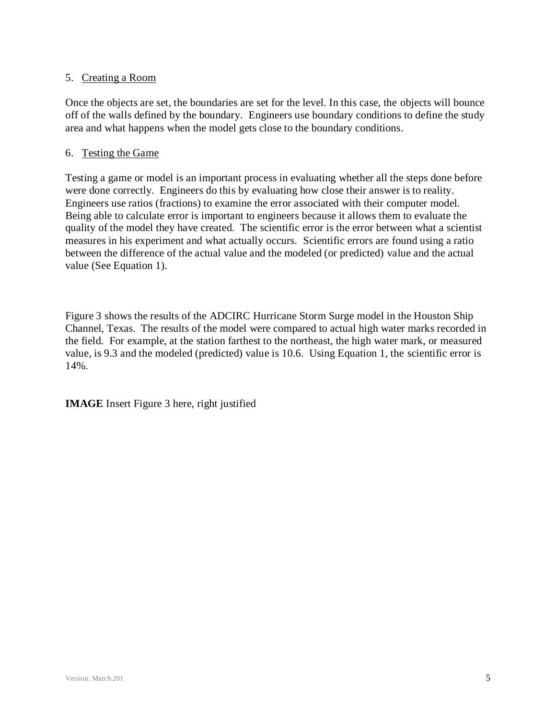# 5. Creating a Room

Once the objects are set, the boundaries are set for the level. In this case, the objects will bounce off of the walls defined by the boundary. Engineers use boundary conditions to define the study area and what happens when the model gets close to the boundary conditions.

## 6. Testing the Game

Testing a game or model is an important process in evaluating whether all the steps done before were done correctly. Engineers do this by evaluating how close their answer is to reality. Engineers use ratios (fractions) to examine the error associated with their computer model. Being able to calculate error is important to engineers because it allows them to evaluate the quality of the model they have created. The scientific error is the error between what a scientist measures in his experiment and what actually occurs. Scientific errors are found using a ratio between the difference of the actual value and the modeled (or predicted) value and the actual value (See Equation 1).

Figure 3 shows the results of the ADCIRC Hurricane Storm Surge model in the Houston Ship Channel, Texas. The results of the model were compared to actual high water marks recorded in the field. For example, at the station farthest to the northeast, the high water mark, or measured value, is 9.3 and the modeled (predicted) value is 10.6. Using Equation 1, the scientific error is 14%.

**IMAGE** Insert Figure 3 here, right justified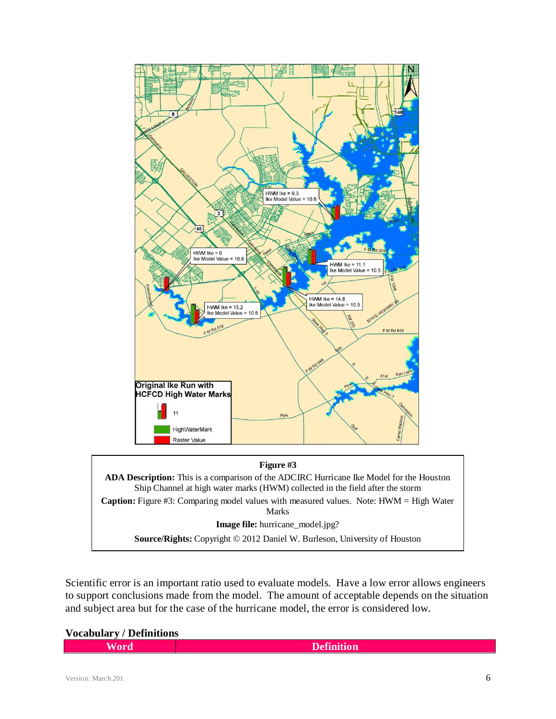

**Image file:** hurricane\_model.jpg?

**Source/Rights:** Copyright © 2012 Daniel W. Burleson, University of Houston

Scientific error is an important ratio used to evaluate models. Have a low error allows engineers to support conclusions made from the model. The amount of acceptable depends on the situation and subject area but for the case of the hurricane model, the error is considered low.

**Vocabulary / Definitions**

| <b>Definition</b><br>70 L W |
|-----------------------------|
|-----------------------------|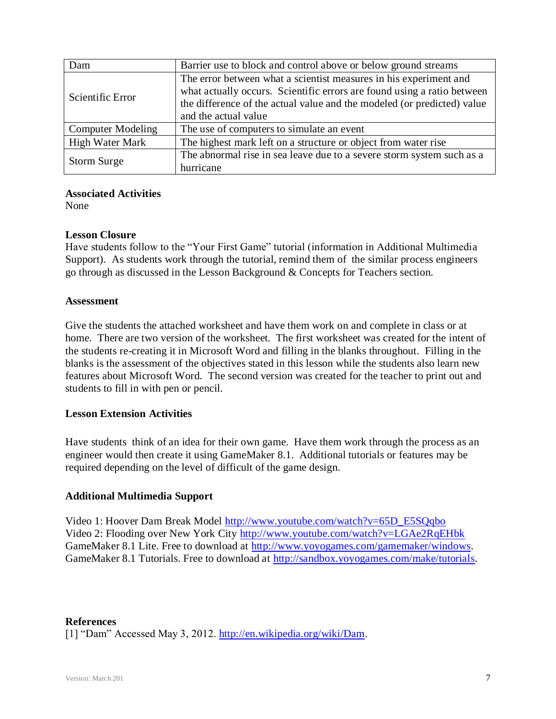| Dam                      | Barrier use to block and control above or below ground streams                                                                                                                                                                                  |  |
|--------------------------|-------------------------------------------------------------------------------------------------------------------------------------------------------------------------------------------------------------------------------------------------|--|
| Scientific Error         | The error between what a scientist measures in his experiment and<br>what actually occurs. Scientific errors are found using a ratio between<br>the difference of the actual value and the modeled (or predicted) value<br>and the actual value |  |
| <b>Computer Modeling</b> | The use of computers to simulate an event                                                                                                                                                                                                       |  |
| <b>High Water Mark</b>   | The highest mark left on a structure or object from water rise                                                                                                                                                                                  |  |
| Storm Surge              | The abnormal rise in sea leave due to a severe storm system such as a<br>hurricane                                                                                                                                                              |  |

## **Associated Activities**

None

#### **Lesson Closure**

Have students follow to the "Your First Game" tutorial (information in Additional Multimedia Support). As students work through the tutorial, remind them of the similar process engineers go through as discussed in the Lesson Background & Concepts for Teachers section.

#### **Assessment**

Give the students the attached worksheet and have them work on and complete in class or at home. There are two version of the worksheet. The first worksheet was created for the intent of the students re-creating it in Microsoft Word and filling in the blanks throughout. Filling in the blanks is the assessment of the objectives stated in this lesson while the students also learn new features about Microsoft Word. The second version was created for the teacher to print out and students to fill in with pen or pencil.

## **Lesson Extension Activities**

Have students think of an idea for their own game. Have them work through the process as an engineer would then create it using GameMaker 8.1. Additional tutorials or features may be required depending on the level of difficult of the game design.

## **Additional Multimedia Support**

Video 1: Hoover Dam Break Model [http://www.youtube.com/watch?v=65D\\_E5SQqbo](http://www.youtube.com/watch?v=65D_E5SQqbo) Video 2: Flooding over New York City <http://www.youtube.com/watch?v=LGAe2RqEHbk> GameMaker 8.1 Lite. Free to download at [http://www.yoyogames.com/gamemaker/windows.](http://www.yoyogames.com/gamemaker/windows) GameMaker 8.1 Tutorials. Free to download at [http://sandbox.yoyogames.com/make/tutorials.](http://sandbox.yoyogames.com/make/tutorials)

#### **References**

[1] "Dam" Accessed May 3, 2012. [http://en.wikipedia.org/wiki/Dam.](http://en.wikipedia.org/wiki/Dam)